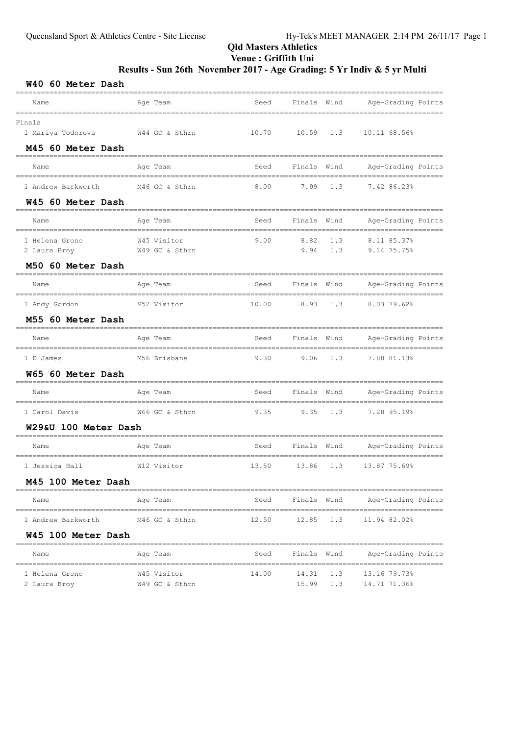# Results - Sun 26th November 2017 - Age Grading: 5 Yr Indiv & 5 yr Multi

| W40 60 Meter Dash                                   |                               |                           |              |                      |                                                          |
|-----------------------------------------------------|-------------------------------|---------------------------|--------------|----------------------|----------------------------------------------------------|
| Name                                                | Age Team                      | Seed                      | Finals Wind  |                      | Age-Grading Points                                       |
| Finals<br>1 Mariya Todorova<br>M45 60 Meter Dash    | W44 GC & Sthrn                | 10.70                     | 10.59        | 1.3                  | 10.11 68.56%                                             |
| Name                                                | Age Team                      | Seed                      | Finals Wind  |                      | Age-Grading Points                                       |
| ===============<br>1 Andrew Barkworth               | M46 GC & Sthrn                | -----------------<br>8.00 | 7.99         | 1.3                  | 7.42 86.23%                                              |
| W45 60 Meter Dash<br>Name                           | Age Team                      | Seed                      | Finals       | Wind                 | Age-Grading Points                                       |
| 1 Helena Grono<br>2 Laura Broy<br>M50 60 Meter Dash | W45 Visitor<br>W49 GC & Sthrn | 9.00                      | 8.82<br>9.94 | 1.3<br>1.3           | 8.11 85.37%<br>9.14 75.75%                               |
| Name                                                | Age Team                      | Seed                      | Finals       | Wind                 | Age-Grading Points                                       |
| 1 Andy Gordon<br>M55 60 Meter Dash                  | M52 Visitor                   | 10.00                     | 8.93         | 1.3                  | ---------------------------<br>8.03 79.62%               |
| Name                                                | Age Team                      | Seed                      | Finals Wind  |                      | ----------------------------------<br>Age-Grading Points |
| ______________<br>1 D James<br>W65 60 Meter Dash    | M56 Brisbane                  | 9.30                      | 9.06         | 1.3                  | ------------------<br>7.88 81.13%                        |
| Name                                                | Age Team                      | Seed                      | Finals Wind  |                      | Age-Grading Points                                       |
| 1 Carol Davis<br>W29&U 100 Meter Dash               | W66 GC & Sthrn                | 9.35                      | 9.35         | 1.3                  | ---------------------<br>7.28 95.19%                     |
| Name                                                | Age Team                      | Seed                      | Finals Wind  |                      | Age-Grading Points                                       |
| 1 Jessica Hall                                      | W12 Visitor                   | 13.50                     | 13.86        | 1.3                  | 13.87 75.69%                                             |
| M45 100 Meter Dash                                  | ---------------------         |                           |              |                      |                                                          |
| Name                                                | Age Team                      | Seed                      | Finals       | Wind                 | Age-Grading Points                                       |
| 1 Andrew Barkworth                                  | M46 GC & Sthrn                | 12.50                     | 12.85        | 1.3                  | 11.94 82.02%                                             |
| W45 100 Meter Dash                                  |                               |                           |              |                      |                                                          |
| Name                                                | Age Team                      | Seed                      | Finals Wind  |                      | Age-Grading Points                                       |
| 1 Helena Grono<br>2 Laura Broy                      | W45 Visitor<br>W49 GC & Sthrn | 14.00                     | 14.31        | 1.3<br>$15.99$ $1.3$ | 13.16 79.73%<br>14.71 71.36%                             |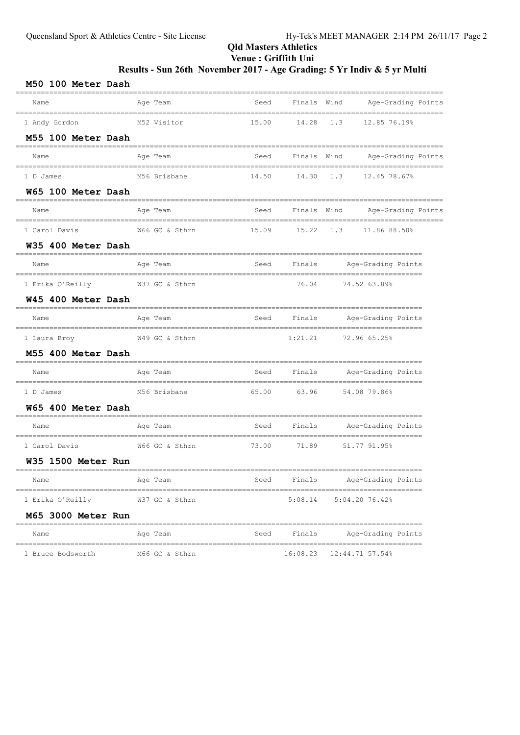# Results - Sun 26th November 2017 - Age Grading: 5 Yr Indiv & 5 yr Multi

| M50 100 Meter Dash                             |                                               |       |             |                                      |                    |
|------------------------------------------------|-----------------------------------------------|-------|-------------|--------------------------------------|--------------------|
| Name                                           | Age Team                                      | Seed  |             | Finals Wind                          | Age-Grading Points |
| 1 Andy Gordon                                  | M52 Visitor                                   | 15.00 | 14.28       | 1.3<br>12.85 76.19%                  |                    |
| M55 100 Meter Dash                             |                                               |       |             |                                      |                    |
| Name                                           | Age Team                                      | Seed  | Finals Wind |                                      | Age-Grading Points |
| 1 D James                                      | M56 Brisbane                                  | 14.50 | 14.30       | 1.3                                  | 12.45 78.67%       |
| W65 100 Meter Dash                             |                                               |       |             |                                      |                    |
| Name                                           | Age Team                                      | Seed  | Finals      | Wind                                 | Age-Grading Points |
| 1 Carol Davis                                  | W66 GC & Sthrn                                | 15.09 | 15.22       | 1.3                                  | 11.86 88.50%       |
| W35 400 Meter Dash                             |                                               |       |             |                                      |                    |
| Name                                           | Age Team                                      | Seed  | Finals      | Age-Grading Points                   |                    |
| 1 Erika O'Reilly                               | W37 GC & Sthrn                                |       | 76.04       | 74.52 63.89%                         |                    |
| W45 400 Meter Dash                             |                                               |       |             |                                      |                    |
| Name                                           | Age Team                                      | Seed  | Finals      | Age-Grading Points                   |                    |
| 1 Laura Broy                                   | W49 GC & Sthrn                                |       | 1:21.21     | 72.96 65.25%                         |                    |
| M55 400 Meter Dash                             |                                               |       |             |                                      |                    |
| Name                                           | Age Team                                      | Seed  | Finals      | Age-Grading Points                   |                    |
| 1 D James                                      | M56 Brisbane                                  | 65.00 | 63.96       | 54.08 79.86%                         |                    |
| W65 400 Meter Dash                             |                                               |       |             |                                      |                    |
| Name                                           | =============<br>Age Team                     | Seed  | Finals      | Age-Grading Points                   |                    |
| 1 Carol Davis                                  | W66 GC & Sthrn                                | 73.00 | 71.89       | 51.77 91.95%                         |                    |
| W35 1500 Meter Run                             |                                               |       |             |                                      |                    |
| Name                                           | Age Team                                      | Seed  | Finals      | Age-Grading Points                   |                    |
| __________________________<br>1 Erika O'Reilly | ___________________________<br>W37 GC & Sthrn |       | 5:08.14     | ----------------<br>$5:04.20$ 76.42% |                    |
| M65 3000 Meter Run                             |                                               |       |             |                                      |                    |
| Name                                           | Age Team                                      | Seed  | Finals      | Age-Grading Points                   |                    |
| 1 Bruce Bodsworth                              | M66 GC & Sthrn                                |       | 16:08.23    | 12:44.71 57.54%                      |                    |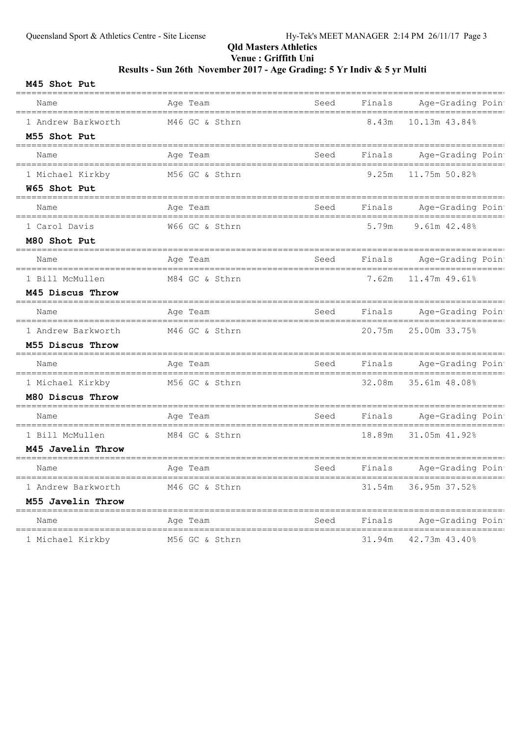# Results - Sun 26th November 2017 - Age Grading: 5 Yr Indiv & 5 yr Multi

| M45 Shot Put                                   |                                |      |        |                              |
|------------------------------------------------|--------------------------------|------|--------|------------------------------|
| Name<br>====================================== | Age Team                       | Seed | Finals | Age-Grading Poin             |
| 1 Andrew Barkworth                             | M46 GC & Sthrn                 |      | 8.43m  | 10.13m 43.84%                |
| M55 Shot Put                                   |                                |      |        |                              |
| Name                                           | Age Team                       | Seed | Finals | Age-Grading Poin             |
| 1 Michael Kirkby                               | M56 GC & Sthrn                 |      | 9.25m  | 11.75m 50.82%                |
| W65 Shot Put                                   |                                |      |        |                              |
| Name                                           | Age Team                       | Seed | Finals | Age-Grading Poin             |
| 1 Carol Davis                                  | W66 GC & Sthrn                 |      | 5.79m  | $9.61m$ $42.48%$             |
| M80 Shot Put                                   |                                |      |        |                              |
| Name<br>=================================      | Age Team                       | Seed | Finals | Age-Grading Poin             |
| 1 Bill McMullen                                | M84 GC & Sthrn                 |      | 7.62m  | 11.47m 49.61%                |
| M45 Discus Throw                               |                                |      |        |                              |
| Name                                           | Age Team                       | Seed | Finals | Age-Grading Poin             |
| 1 Andrew Barkworth                             | M46 GC & Sthrn                 |      | 20.75m | 25.00m 33.75%                |
| M55 Discus Throw                               |                                |      |        |                              |
| Name                                           | Age Team                       | Seed | Finals | Age-Grading Poin             |
| 1 Michael Kirkby                               | M56 GC & Sthrn                 |      | 32.08m | 35.61m 48.08%                |
| M80 Discus Throw                               |                                |      |        |                              |
| Name                                           | Age Team                       | Seed | Finals | Age-Grading Poin             |
| 1 Bill McMullen                                | M84 GC & Sthrn                 |      | 18.89m | 31.05m 41.92%                |
| M45 Javelin Throw                              |                                |      |        |                              |
| Name                                           | and the Team and Team and Team |      |        | Seed Finals Age-Grading Poin |
| 1 Andrew Barkworth                             | M46 GC & Sthrn                 |      | 31.54m | 36.95m 37.52%                |
| M55 Javelin Throw                              |                                |      |        |                              |
| Name                                           | Age Team                       | Seed | Finals | Age-Grading Poin             |
| 1 Michael Kirkby                               | M56 GC & Sthrn                 |      | 31.94m | 42.73m 43.40%                |